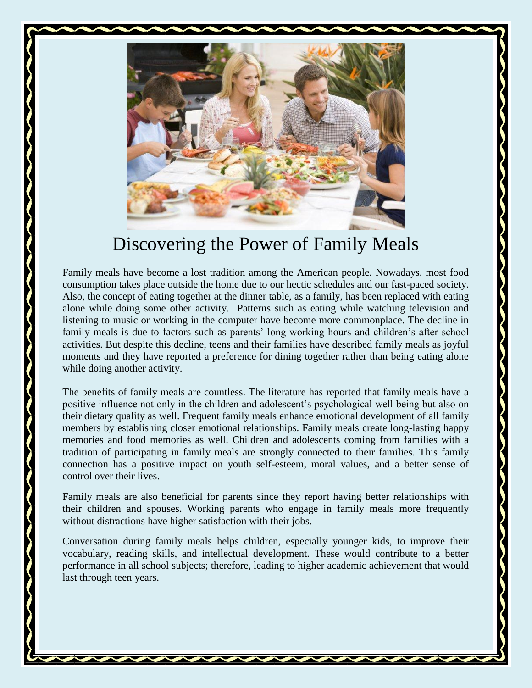

## Discovering the Power of Family Meals

Family meals have become a lost tradition among the American people. Nowadays, most food consumption takes place outside the home due to our hectic schedules and our fast-paced society. Also, the concept of eating together at the dinner table, as a family, has been replaced with eating alone while doing some other activity. Patterns such as eating while watching television and listening to music or working in the computer have become more commonplace. The decline in family meals is due to factors such as parents' long working hours and children's after school activities. But despite this decline, teens and their families have described family meals as joyful moments and they have reported a preference for dining together rather than being eating alone while doing another activity.

The benefits of family meals are countless. The literature has reported that family meals have a positive influence not only in the children and adolescent's psychological well being but also on their dietary quality as well. Frequent family meals enhance emotional development of all family members by establishing closer emotional relationships. Family meals create long-lasting happy memories and food memories as well. Children and adolescents coming from families with a tradition of participating in family meals are strongly connected to their families. This family connection has a positive impact on youth self-esteem, moral values, and a better sense of control over their lives.

Family meals are also beneficial for parents since they report having better relationships with their children and spouses. Working parents who engage in family meals more frequently without distractions have higher satisfaction with their jobs.

Conversation during family meals helps children, especially younger kids, to improve their vocabulary, reading skills, and intellectual development. These would contribute to a better performance in all school subjects; therefore, leading to higher academic achievement that would last through teen years.